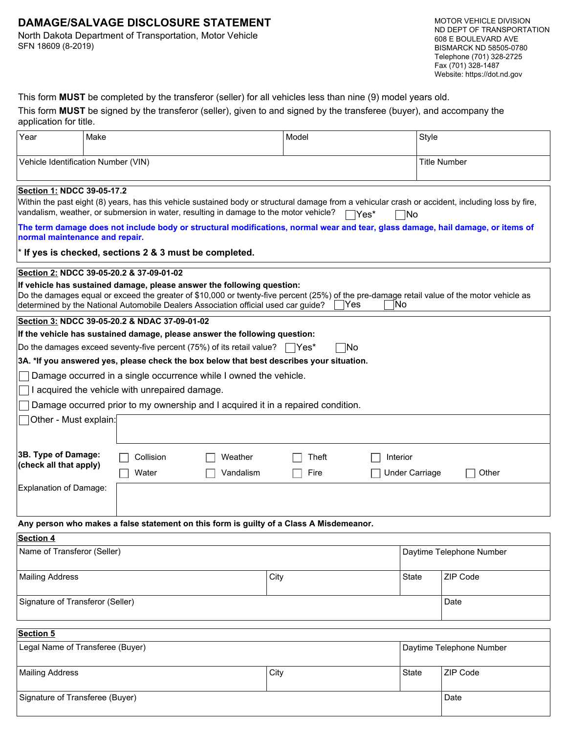# **DAMAGE/SALVAGE DISCLOSURE STATEMENT**

North Dakota Department of Transportation, Motor Vehicle SFN 18609 (8-2019)

MOTOR VEHICLE DIVISION ND DEPT OF TRANSPORTATION 608 E BOULEVARD AVE BISMARCK ND 58505-0780 Telephone (701) 328-2725 Fax (701) 328-1487 Website: https://dot.nd.gov

|  | This form MUST be completed by the transferor (seller) for all vehicles less than nine (9) model years old. |  |  |  |  |
|--|-------------------------------------------------------------------------------------------------------------|--|--|--|--|
|--|-------------------------------------------------------------------------------------------------------------|--|--|--|--|

| This form MUST be signed by the transferor (seller), given to and signed by the transferee (buyer), and accompany the |  |  |
|-----------------------------------------------------------------------------------------------------------------------|--|--|
| application for title.                                                                                                |  |  |

| Year                                                                                                                                                                                                                                                                                                                                                                                                                                                                                                                                                                                                                                                                                                                                                                                                                                                                                                                                                                                                                                                                                                                        | Make |                    |                      | Model                    |                                            | Style    |      |
|-----------------------------------------------------------------------------------------------------------------------------------------------------------------------------------------------------------------------------------------------------------------------------------------------------------------------------------------------------------------------------------------------------------------------------------------------------------------------------------------------------------------------------------------------------------------------------------------------------------------------------------------------------------------------------------------------------------------------------------------------------------------------------------------------------------------------------------------------------------------------------------------------------------------------------------------------------------------------------------------------------------------------------------------------------------------------------------------------------------------------------|------|--------------------|----------------------|--------------------------|--------------------------------------------|----------|------|
| Vehicle Identification Number (VIN)<br><b>Title Number</b>                                                                                                                                                                                                                                                                                                                                                                                                                                                                                                                                                                                                                                                                                                                                                                                                                                                                                                                                                                                                                                                                  |      |                    |                      |                          |                                            |          |      |
| Section 1: NDCC 39-05-17.2<br>Within the past eight (8) years, has this vehicle sustained body or structural damage from a vehicular crash or accident, including loss by fire,<br>vandalism, weather, or submersion in water, resulting in damage to the motor vehicle?<br>™es*<br>No   <br>The term damage does not include body or structural modifications, normal wear and tear, glass damage, hail damage, or items of<br>normal maintenance and repair.<br>* If yes is checked, sections 2 & 3 must be completed.<br>Section 2: NDCC 39-05-20.2 & 37-09-01-02<br>If vehicle has sustained damage, please answer the following question:<br>Do the damages equal or exceed the greater of \$10,000 or twenty-five percent (25%) of the pre-damage retail value of the motor vehicle as<br>Yes<br>INo<br>determined by the National Automobile Dealers Association official used car guide?<br>Section 3: NDCC 39-05-20.2 & NDAC 37-09-01-02<br>If the vehicle has sustained damage, please answer the following question:<br>Do the damages exceed seventy-five percent (75%) of its retail value? $\Box$ Yes*<br> No |      |                    |                      |                          |                                            |          |      |
| 3A. *If you answered yes, please check the box below that best describes your situation.<br>Damage occurred in a single occurrence while I owned the vehicle.<br>I acquired the vehicle with unrepaired damage.<br>Damage occurred prior to my ownership and I acquired it in a repaired condition.                                                                                                                                                                                                                                                                                                                                                                                                                                                                                                                                                                                                                                                                                                                                                                                                                         |      |                    |                      |                          |                                            |          |      |
| Other - Must explain:                                                                                                                                                                                                                                                                                                                                                                                                                                                                                                                                                                                                                                                                                                                                                                                                                                                                                                                                                                                                                                                                                                       |      |                    |                      |                          |                                            |          |      |
| 3B. Type of Damage:<br>(check all that apply)<br>Explanation of Damage:                                                                                                                                                                                                                                                                                                                                                                                                                                                                                                                                                                                                                                                                                                                                                                                                                                                                                                                                                                                                                                                     |      | Collision<br>Water | Weather<br>Vandalism | Theft<br>Fire            | Interior<br><b>Under Carriage</b><br>Other |          |      |
|                                                                                                                                                                                                                                                                                                                                                                                                                                                                                                                                                                                                                                                                                                                                                                                                                                                                                                                                                                                                                                                                                                                             |      |                    |                      |                          |                                            |          |      |
| Any person who makes a false statement on this form is guilty of a Class A Misdemeanor.<br><b>Section 4</b>                                                                                                                                                                                                                                                                                                                                                                                                                                                                                                                                                                                                                                                                                                                                                                                                                                                                                                                                                                                                                 |      |                    |                      |                          |                                            |          |      |
| Name of Transferor (Seller)                                                                                                                                                                                                                                                                                                                                                                                                                                                                                                                                                                                                                                                                                                                                                                                                                                                                                                                                                                                                                                                                                                 |      |                    |                      | Daytime Telephone Number |                                            |          |      |
| <b>Mailing Address</b>                                                                                                                                                                                                                                                                                                                                                                                                                                                                                                                                                                                                                                                                                                                                                                                                                                                                                                                                                                                                                                                                                                      |      | City               |                      |                          | State                                      | ZIP Code |      |
| Signature of Transferor (Seller)                                                                                                                                                                                                                                                                                                                                                                                                                                                                                                                                                                                                                                                                                                                                                                                                                                                                                                                                                                                                                                                                                            |      |                    |                      |                          | Date                                       |          |      |
| Section 5                                                                                                                                                                                                                                                                                                                                                                                                                                                                                                                                                                                                                                                                                                                                                                                                                                                                                                                                                                                                                                                                                                                   |      |                    |                      |                          |                                            |          |      |
| Legal Name of Transferee (Buyer)<br>Daytime Telephone Number                                                                                                                                                                                                                                                                                                                                                                                                                                                                                                                                                                                                                                                                                                                                                                                                                                                                                                                                                                                                                                                                |      |                    |                      |                          |                                            |          |      |
| <b>Mailing Address</b>                                                                                                                                                                                                                                                                                                                                                                                                                                                                                                                                                                                                                                                                                                                                                                                                                                                                                                                                                                                                                                                                                                      |      | City               |                      |                          | State                                      | ZIP Code |      |
| Signature of Transferee (Buyer)                                                                                                                                                                                                                                                                                                                                                                                                                                                                                                                                                                                                                                                                                                                                                                                                                                                                                                                                                                                                                                                                                             |      |                    |                      |                          |                                            |          | Date |